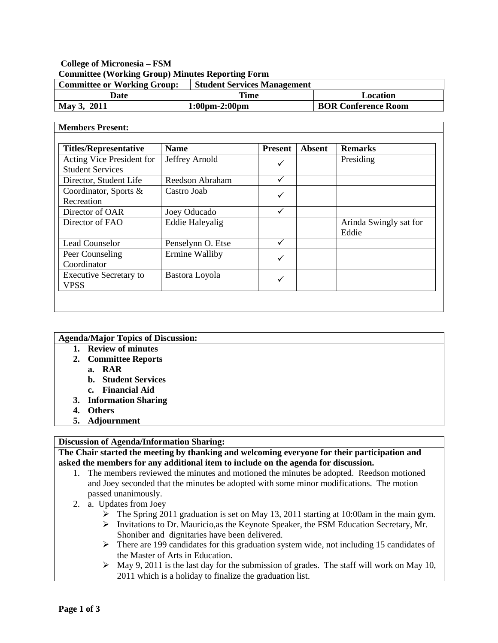## **College of Micronesia – FSM Committee (Working Group) Minutes Reporting Form**

| <b>Committee or Working Group:</b> | <b>Student Services Management</b> |                            |
|------------------------------------|------------------------------------|----------------------------|
| Date                               | Time                               | Location                   |
| May 3, 2011                        | $1:00 \text{pm} - 2:00 \text{pm}$  | <b>BOR Conference Room</b> |

#### **Members Present:**

| <b>Titles/Representative</b>                         | <b>Name</b>            | <b>Present</b> | <b>Absent</b> | <b>Remarks</b>                  |
|------------------------------------------------------|------------------------|----------------|---------------|---------------------------------|
| Acting Vice President for<br><b>Student Services</b> | Jeffrey Arnold         | ✓              |               | Presiding                       |
| Director, Student Life                               | Reedson Abraham        | ✓              |               |                                 |
| Coordinator, Sports &<br>Recreation                  | Castro Joab            |                |               |                                 |
| Director of OAR                                      | Joey Oducado           | ✓              |               |                                 |
| Director of FAO                                      | <b>Eddie Haleyalig</b> |                |               | Arinda Swingly sat for<br>Eddie |
| Lead Counselor                                       | Penselynn O. Etse      |                |               |                                 |
| Peer Counseling<br>Coordinator                       | Ermine Walliby         |                |               |                                 |
| <b>Executive Secretary to</b><br><b>VPSS</b>         | Bastora Loyola         |                |               |                                 |

| <b>Agenda/Major Topics of Discussion:</b> |
|-------------------------------------------|
| <b>Review of minutes</b>                  |
| 2. Committee Reports                      |
| a. RAR                                    |
| <b>b.</b> Student Services                |
| c. Financial Aid                          |
| 3. Information Sharing                    |
| <b>Others</b>                             |
| 5. Adjournment                            |
|                                           |

# **Discussion of Agenda/Information Sharing:**

**The Chair started the meeting by thanking and welcoming everyone for their participation and asked the members for any additional item to include on the agenda for discussion.**

- 1. The members reviewed the minutes and motioned the minutes be adopted. Reedson motioned and Joey seconded that the minutes be adopted with some minor modifications. The motion passed unanimously.
- 2. a. Updates from Joey
	- $\triangleright$  The Spring 2011 graduation is set on May 13, 2011 starting at 10:00am in the main gym.
	- $\triangleright$  Invitations to Dr. Mauricio, as the Keynote Speaker, the FSM Education Secretary, Mr. Shoniber and dignitaries have been delivered.
	- There are 199 candidates for this graduation system wide, not including 15 candidates of the Master of Arts in Education.
	- $\triangleright$  May 9, 2011 is the last day for the submission of grades. The staff will work on May 10, 2011 which is a holiday to finalize the graduation list.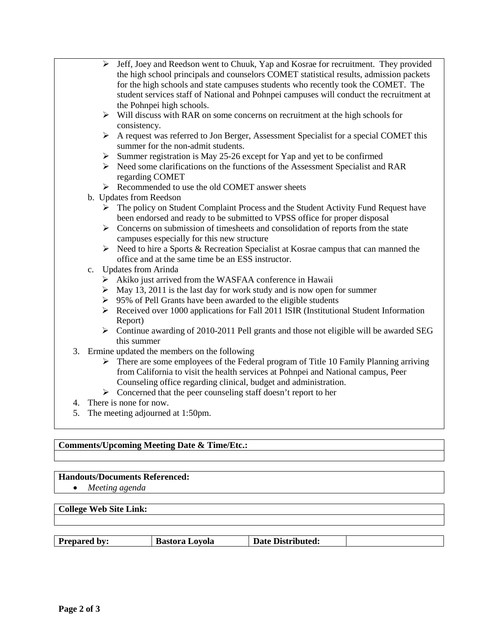- $\triangleright$  Jeff, Joey and Reedson went to Chuuk, Yap and Kosrae for recruitment. They provided the high school principals and counselors COMET statistical results, admission packets for the high schools and state campuses students who recently took the COMET. The student services staff of National and Pohnpei campuses will conduct the recruitment at the Pohnpei high schools.
	- $\triangleright$  Will discuss with RAR on some concerns on recruitment at the high schools for consistency.
	- $\triangleright$  A request was referred to Jon Berger, Assessment Specialist for a special COMET this summer for the non-admit students.
	- $\triangleright$  Summer registration is May 25-26 except for Yap and yet to be confirmed
	- Need some clarifications on the functions of the Assessment Specialist and RAR regarding COMET
- Recommended to use the old COMET answer sheets
- b. Updates from Reedson
	- $\triangleright$  The policy on Student Complaint Process and the Student Activity Fund Request have been endorsed and ready to be submitted to VPSS office for proper disposal
	- $\triangleright$  Concerns on submission of timesheets and consolidation of reports from the state campuses especially for this new structure
	- $\triangleright$  Need to hire a Sports & Recreation Specialist at Kosrae campus that can manned the office and at the same time be an ESS instructor.
- c. Updates from Arinda
	- $\triangleright$  Akiko just arrived from the WASFAA conference in Hawaii
	- $\triangleright$  May 13, 2011 is the last day for work study and is now open for summer
	- $\geq$  95% of Pell Grants have been awarded to the eligible students
	- $\triangleright$  Received over 1000 applications for Fall 2011 ISIR (Institutional Student Information Report)
	- $\triangleright$  Continue awarding of 2010-2011 Pell grants and those not eligible will be awarded SEG this summer
- 3. Ermine updated the members on the following
	- $\triangleright$  There are some employees of the Federal program of Title 10 Family Planning arriving from California to visit the health services at Pohnpei and National campus, Peer Counseling office regarding clinical, budget and administration.
	- $\triangleright$  Concerned that the peer counseling staff doesn't report to her
- 4. There is none for now.
- 5. The meeting adjourned at 1:50pm.

### **Comments/Upcoming Meeting Date & Time/Etc.:**

### **Handouts/Documents Referenced:**

• *Meeting agenda*

### **College Web Site Link:**

| <b>Prepared by:</b><br><b>Bastora Loyola</b> | <b>Date</b><br>: Distributed: |  |
|----------------------------------------------|-------------------------------|--|
|----------------------------------------------|-------------------------------|--|